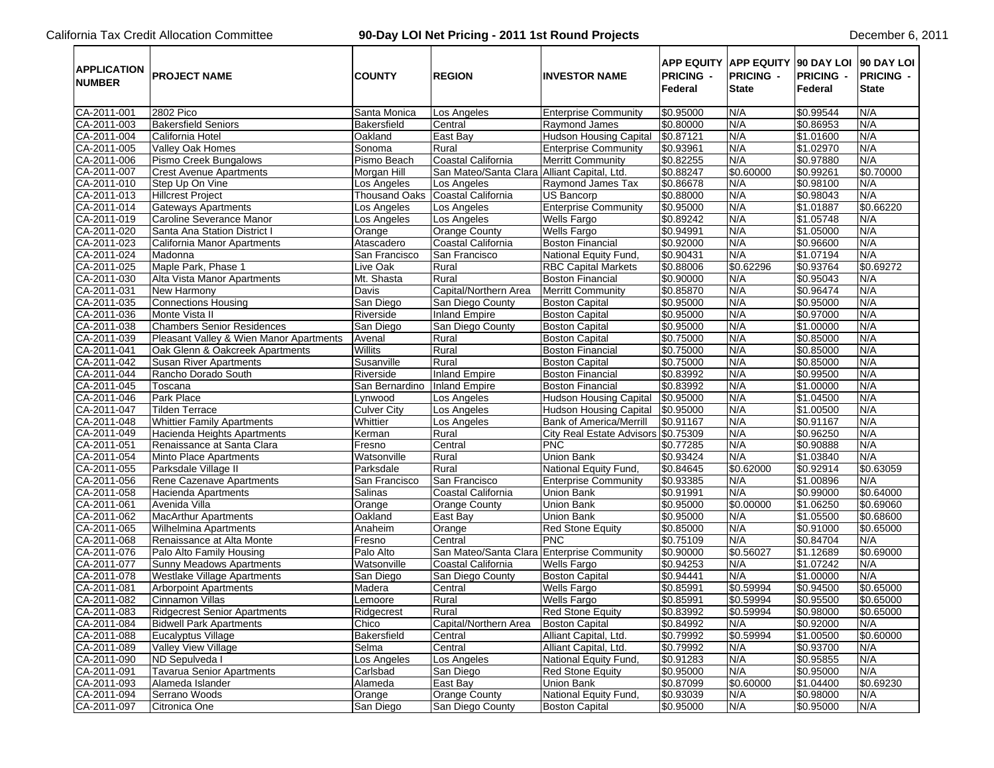## California Tax Credit Allocation Committee **90-Day LOI Net Pricing - 2011 1st Round Projects** December 6, 2011

| <b>NUMBER</b>              | <b>APPLICATION PROJECT NAME</b>                       | <b>COUNTY</b>        | <b>REGION</b>                               | <b>INVESTOR NAME</b>                  | <b>PRICING -</b><br>Federal | APP EQUITY APP EQUITY 90 DAY LOI 90 DAY LOI<br><b>PRICING -</b><br><b>State</b> | <b>PRICING -</b><br>Federal | <b>PRICING -</b><br><b>State</b> |
|----------------------------|-------------------------------------------------------|----------------------|---------------------------------------------|---------------------------------------|-----------------------------|---------------------------------------------------------------------------------|-----------------------------|----------------------------------|
| CA-2011-001                | 2802 Pico                                             | Santa Monica         | Los Angeles                                 | <b>Enterprise Community</b>           | \$0.95000                   | N/A                                                                             | \$0.99544                   | N/A                              |
| CA-2011-003                | <b>Bakersfield Seniors</b>                            | Bakersfield          | Central                                     | Raymond James                         | \$0.80000                   | N/A                                                                             | \$0.86953                   | N/A                              |
| CA-2011-004                | California Hotel                                      | Oakland              | East Bay                                    | Hudson Housing Capital                | \$0.87121                   | N/A                                                                             | \$1.01600                   | N/A                              |
| CA-2011-005                | <b>Valley Oak Homes</b>                               | Sonoma               | Rural                                       | <b>Enterprise Community</b>           | \$0.93961                   | N/A                                                                             | \$1.02970                   | N/A                              |
| CA-2011-006                | Pismo Creek Bungalows                                 | Pismo Beach          | Coastal California                          | <b>Merritt Community</b>              | \$0.82255                   | N/A                                                                             | \$0.97880                   | N/A                              |
| CA-2011-007                | <b>Crest Avenue Apartments</b>                        | Morgan Hill          | San Mateo/Santa Clara Alliant Capital, Ltd. |                                       | \$0.88247                   | \$0.60000                                                                       | \$0.99261                   | \$0.70000                        |
| CA-2011-010                | Step Up On Vine                                       | Los Angeles          | Los Angeles                                 | Raymond James Tax                     | \$0.86678                   | N/A                                                                             | \$0.98100                   | N/A                              |
| CA-2011-013                | <b>Hillcrest Project</b>                              | <b>Thousand Oaks</b> | Coastal California                          | US Bancorp                            | \$0.88000                   | N/A                                                                             | \$0.98043                   | N/A                              |
| CA-2011-014                | <b>Gateways Apartments</b>                            | Los Angeles          | Los Angeles                                 | <b>Enterprise Community</b>           | \$0.95000                   | N/A                                                                             | \$1.01887                   | \$0.66220                        |
| CA-2011-019                | Caroline Severance Manor                              | Los Angeles          | Los Angeles                                 | <b>Wells Fargo</b>                    | \$0.89242                   | N/A                                                                             | \$1.05748                   | N/A                              |
| CA-2011-020                | Santa Ana Station District I                          | Orange               | Orange County                               | <b>Wells Fargo</b>                    | \$0.94991                   | N/A                                                                             | \$1.05000                   | N/A                              |
| CA-2011-023                | California Manor Apartments                           | Atascadero           | Coastal California                          | <b>Boston Financial</b>               | \$0.92000                   | N/A                                                                             | \$0.96600                   | N/A                              |
| CA-2011-024                | Madonna                                               | San Francisco        | San Francisco                               | National Equity Fund,                 | \$0.90431                   | N/A                                                                             | \$1.07194                   | N/A                              |
| CA-2011-025                | Maple Park, Phase 1                                   | Live Oak             | Rural                                       | <b>RBC Capital Markets</b>            | \$0.88006                   | \$0.62296                                                                       | \$0.93764                   | \$0.69272                        |
| CA-2011-030                | Alta Vista Manor Apartments                           | Mt. Shasta           | Rural                                       | <b>Boston Financial</b>               | \$0.90000                   | N/A                                                                             | \$0.95043                   | N/A                              |
| CA-2011-031                | New Harmony                                           | Davis                | Capital/Northern Area                       | <b>Merritt Community</b>              | \$0.85870                   | N/A                                                                             | \$0.96474                   | N/A                              |
| CA-2011-035                | Connections Housing                                   | San Diego            | San Diego County                            | <b>Boston Capital</b>                 | \$0.95000                   | N/A                                                                             | \$0.95000                   | N/A                              |
| CA-2011-036                | Monte Vista II                                        | Riverside            | <b>Inland Empire</b>                        | <b>Boston Capital</b>                 | \$0.95000                   | N/A                                                                             | \$0.97000                   | N/A                              |
| CA-2011-038                | <b>Chambers Senior Residences</b>                     | San Diego            | San Diego County                            | <b>Boston Capital</b>                 | \$0.95000                   | N/A                                                                             | \$1.00000                   | N/A                              |
| CA-2011-039                | Pleasant Valley & Wien Manor Apartments               | Avenal               | Rural                                       | <b>Boston Capital</b>                 | \$0.75000                   | N/A                                                                             | \$0.85000                   | N/A                              |
| CA-2011-041                | Oak Glenn & Oakcreek Apartments                       | Willits              | Rural                                       | <b>Boston Financial</b>               | \$0.75000                   | N/A                                                                             | \$0.85000                   | N/A                              |
| CA-2011-042                | <b>Susan River Apartments</b>                         | Susanville           | Rural                                       | <b>Boston Capital</b>                 | \$0.75000                   | N/A                                                                             | \$0.85000                   | N/A                              |
| CA-2011-044                | Rancho Dorado South                                   | Riverside            | <b>Inland Empire</b>                        | <b>Boston Financial</b>               | \$0.83992                   | N/A                                                                             | \$0.99500                   | N/A                              |
| CA-2011-045                | Toscana                                               | San Bernardino       | <b>Inland Empire</b>                        | <b>Boston Financial</b>               | \$0.83992                   | N/A                                                                             | \$1.00000                   | N/A                              |
| CA-2011-046                | Park Place                                            | Lynwood              | Los Angeles                                 | <b>Hudson Housing Capital</b>         | \$0.95000                   | N/A                                                                             | \$1.04500                   | N/A                              |
| CA-2011-047                | <b>Tilden Terrace</b>                                 | <b>Culver City</b>   | Los Angeles                                 | <b>Hudson Housing Capital</b>         | \$0.95000                   | N/A                                                                             | \$1.00500                   | N/A                              |
| CA-2011-048                | <b>Whittier Family Apartments</b>                     | Whittier             | Los Angeles                                 | <b>Bank of America/Merrill</b>        | \$0.91167                   | N/A                                                                             | \$0.91167                   | N/A                              |
| CA-2011-049                | Hacienda Heights Apartments                           | Kerman               | Rural                                       | City Real Estate Advisors \$0.75309   |                             | N/A                                                                             | \$0.96250                   | N/A                              |
| CA-2011-051                | Renaissance at Santa Clara                            | Fresno               | Central                                     | <b>PNC</b>                            | \$0.77285                   | N/A                                                                             | \$0.90888                   | N/A                              |
| CA-2011-054                | Minto Place Apartments                                | Watsonville          | Rural                                       | Union Bank                            | \$0.93424                   | N/A                                                                             | \$1.03840                   | N/A                              |
| CA-2011-055                | Parksdale Village II                                  | Parksdale            | Rural                                       | National Equity Fund,                 | \$0.84645                   | \$0.62000                                                                       | \$0.92914                   | \$0.63059                        |
| CA-2011-056                | Rene Cazenave Apartments                              | San Francisco        | San Francisco                               | <b>Enterprise Community</b>           | \$0.93385                   | N/A                                                                             | \$1.00896                   | N/A                              |
| CA-2011-058                | Hacienda Apartments                                   | Salinas              | Coastal California                          | <b>Union Bank</b>                     | \$0.91991                   | N/A                                                                             | \$0.99000                   | \$0.64000                        |
| CA-2011-061                | Avenida Villa                                         | Orange               | <b>Orange County</b>                        | <b>Union Bank</b>                     | \$0.95000                   | \$0.00000                                                                       | \$1.06250                   | \$0.69060                        |
| CA-2011-062                | <b>MacArthur Apartments</b>                           |                      |                                             |                                       | \$0.95000                   | N/A                                                                             | \$1.05500                   | \$0.68600                        |
|                            |                                                       | Oakland              | East Bay                                    | Union Bank                            | \$0.85000                   | N/A                                                                             | \$0.91000                   |                                  |
| CA-2011-065<br>CA-2011-068 | <b>Wilhelmina Apartments</b>                          | Anaheim              | Orange<br>Central                           | <b>Red Stone Equity</b><br><b>PNC</b> |                             |                                                                                 |                             | \$0.65000                        |
|                            | Renaissance at Alta Monte<br>Palo Alto Family Housing | Fresno               |                                             |                                       | \$0.75109                   | N/A                                                                             | \$0.84704                   | N/A                              |
| CA-2011-076                |                                                       | Palo Alto            | San Mateo/Santa Clara Enterprise Community  |                                       | \$0.90000                   | \$0.56027                                                                       | \$1.12689                   | \$0.69000                        |
| CA-2011-077                | Sunny Meadows Apartments                              | Watsonville          | Coastal California                          | <b>Wells Fargo</b>                    | \$0.94253                   | N/A                                                                             | \$1.07242                   | N/A                              |
| CA-2011-078                | <b>Westlake Village Apartments</b>                    | San Diego            | San Diego County                            | <b>Boston Capital</b>                 | \$0.94441                   | N/A                                                                             | \$1.00000                   | N/A                              |
| CA-2011-081                | <b>Arborpoint Apartments</b>                          | Madera               | Central                                     | <b>Wells Fargo</b>                    | \$0.85991                   | \$0.59994                                                                       | \$0.94500                   | \$0.65000                        |
| CA-2011-082                | Cinnamon Villas                                       | Lemoore              | Rural                                       | <b>Wells Fargo</b>                    | \$0.85991                   | \$0.59994                                                                       | \$0.95500                   | \$0.65000                        |
| CA-2011-083                | <b>Ridgecrest Senior Apartments</b>                   | Ridgecrest           | Rural                                       | <b>Red Stone Equity</b>               | \$0.83992                   | \$0.59994                                                                       | \$0.98000                   | \$0.65000                        |
| CA-2011-084                | <b>Bidwell Park Apartments</b>                        | Chico                | Capital/Northern Area                       | <b>Boston Capital</b>                 | \$0.84992                   | N/A                                                                             | \$0.92000                   | N/A                              |
| CA-2011-088                | Eucalyptus Village                                    | Bakersfield          | Central                                     | Alliant Capital, Ltd.                 | \$0.79992                   | \$0.59994                                                                       | \$1.00500                   | \$0.60000                        |
| CA-2011-089                | Valley View Village                                   | Selma                | Central                                     | Alliant Capital, Ltd.                 | \$0.79992                   | N/A                                                                             | \$0.93700                   | N/A                              |
| CA-2011-090                | ND Sepulveda I                                        | Los Angeles          | Los Angeles                                 | National Equity Fund,                 | \$0.91283                   | N/A                                                                             | \$0.95855                   | N/A                              |
| CA-2011-091                | <b>Tavarua Senior Apartments</b>                      | Carlsbad             | San Diego                                   | <b>Red Stone Equity</b>               | \$0.95000                   | N/A                                                                             | \$0.95000                   | N/A                              |
| CA-2011-093                | Alameda Islander                                      | Alameda              | East Bay                                    | Union Bank                            | \$0.87099                   | \$0.60000                                                                       | \$1.04400                   | \$0.69230                        |
| CA-2011-094                | Serrano Woods                                         | Orange               | <b>Orange County</b>                        | National Equity Fund,                 | \$0.93039                   | N/A                                                                             | \$0.98000                   | N/A                              |
| CA-2011-097                | Citronica One                                         | San Diego            | San Diego County                            | <b>Boston Capital</b>                 | \$0.95000                   | N/A                                                                             | \$0.95000                   | N/A                              |